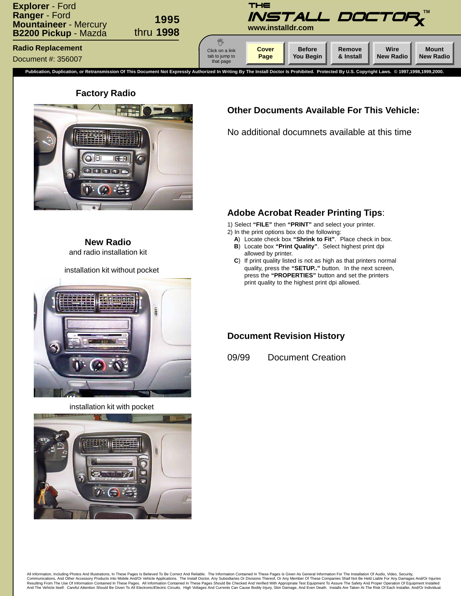<span id="page-0-0"></span>

#### **Factory Radio**



## **Other Documents Available For This Vehicle:**

No additional documnets available at this time

**New Radio** and radio installation kit

installation kit without pocket







### **Adobe Acrobat Reader Printing Tips**:

1) Select **"FILE"** then **"PRINT"** and select your printer.

- 2) In the print options box do the following:
	- **A**) Locate check box **"Shrink to Fit"**. Place check in box.
	- **B**) Locate box **"Print Quality"**. Select highest print dpi allowed by printer.
	- **C**) If print quality listed is not as high as that printers normal quality, press the **"SETUP.."** button. In the next screen, press the **"PROPERTIES"** button and set the printers print quality to the highest print dpi allowed.

#### **Document Revision History**

09/99 Document Creation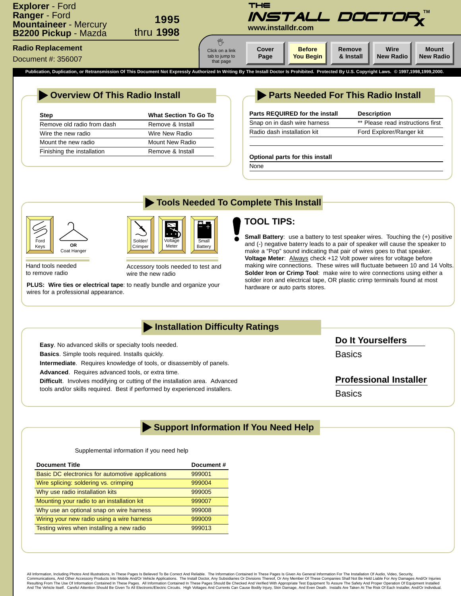<span id="page-1-0"></span>

## **Overview Of This Radio Install**

| Step                       | <b>What Section To Go To</b> |
|----------------------------|------------------------------|
| Remove old radio from dash | Remove & Install             |
| Wire the new radio         | Wire New Radio               |
| Mount the new radio        | Mount New Radio              |
| Finishing the installation | Remove & Install             |

## **Parts Needed For This Radio Install**

| Parts REQUIRED for the install | <b>Description</b>                |
|--------------------------------|-----------------------------------|
| Snap on in dash wire harness   | ** Please read instructions first |
| Radio dash installation kit    | Ford Explorer/Ranger kit          |
|                                |                                   |

#### **Optional parts for this install**

None

**Tools Needed To Complete This Install**



Hand tools needed to remove radio

Solder/ Crimper Voltage Mete

Accessory tools needed to test and wire the new radio

**PLUS: Wire ties or electrical tape**: to neatly bundle and organize your hardware or auto parts stores. wires for a professional appearance.

# **TOOL TIPS:**

**Small Battery**: use a battery to test speaker wires. Touching the (+) positive and (-) negative baterry leads to a pair of speaker will cause the speaker to make a "Pop" sound indicating that pair of wires goes to that speaker. **Voltage Meter**: Always check +12 Volt power wires for voltage before making wire connections. These wires will fluctuate between 10 and 14 Volts. **Solder Iron or Crimp Tool**: make wire to wire connections using either a solder iron and electrical tape, OR plastic crimp terminals found at most

## **Installation Difficulty Ratings**

Small Battery

**Easy**. No advanced skills or specialty tools needed. **Basics**. Simple tools required. Installs quickly.

**Intermediate**. Requires knowledge of tools, or disassembly of panels.

**Advanced**. Requires advanced tools, or extra time.

**Difficult**. Involves modifying or cutting of the installation area. Advanced tools and/or skills required. Best if performed by experienced installers.

**Do It Yourselfers**

**Basics** 

### **Professional Installer**

**Basics** 

## **Support Information If You Need Help**

#### Supplemental information if you need help

| <b>Document Title</b>                            | Document# |
|--------------------------------------------------|-----------|
| Basic DC electronics for automotive applications | 999001    |
| Wire splicing: soldering vs. crimping            | 999004    |
| Why use radio installation kits                  | 999005    |
| Mounting your radio to an installation kit       | 999007    |
| Why use an optional snap on wire harness         | 999008    |
| Wiring your new radio using a wire harness       | 999009    |
| Testing wires when installing a new radio        | 999013    |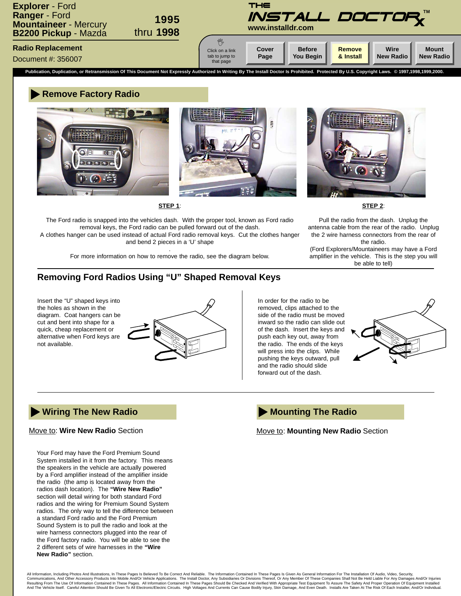<span id="page-2-0"></span>

#### **Remove Factory Radio**





**STEP 1**:

The Ford radio is snapped into the vehicles dash. With the proper tool, known as Ford radio removal keys, the Ford radio can be pulled forward out of the dash.

A clothes hanger can be used instead of actual Ford radio removal keys. Cut the clothes hanger and bend 2 pieces in a 'U' shape

> . For more information on how to remove the radio, see the diagram below.



**STEP 2**:

Pull the radio from the dash. Unplug the antenna cable from the rear of the radio. Unplug the 2 wire harness connectors from the rear of the radio.

(Ford Explorers/Mountaineers may have a Ford amplifier in the vehicle. This is the step you will be able to tell)

### **Removing Ford Radios Using "U" Shaped Removal Keys**

Insert the "U" shaped keys into the holes as shown in the diagram. Coat hangers can be cut and bent into shape for a quick, cheap replacement or alternative when Ford keys are not available.



In order for the radio to be removed, clips attached to the side of the radio must be moved inward so the radio can slide out of the dash. Insert the keys and push each key out, away from the radio. The ends of the keys will press into the clips. While pushing the keys outward, pull and the radio should slide forward out of the dash.



#### **Wiring The New Radio**

#### Move to: **Wire New Radio** Section

Your Ford may have the Ford Premium Sound System installed in it from the factory. This means the speakers in the vehicle are actually powered by a Ford amplifier instead of the amplifier inside the radio (the amp is located away from the radios dash location). The **"Wire New Radio"** section will detail wiring for both standard Ford radios and the wiring for Premium Sound System radios. The only way to tell the difference between a standard Ford radio and the Ford Premium Sound System is to pull the radio and look at the wire harness connectors plugged into the rear of the Ford factory radio. You will be able to see the 2 different sets of wire harnesses in the **"Wire New Radio"** section.

## **Mounting The Radio**

Move to: **Mounting New Radio** Section

All Information, Including Photos And Illustrations, In These Pages Is Believed To Be Correct And Reliable. The Information Contained In These Pages Is Given As General Information For The Installation Of Audio, Video, Sec Communications, And Other Accessory Products Into Mobile And/Or Vehicle Applications. The Install Doctor, Any Subsidiaries Or Divisions Thereof, Or Any Member Of These Companies Shall Not Be Held Liable For Any Damages An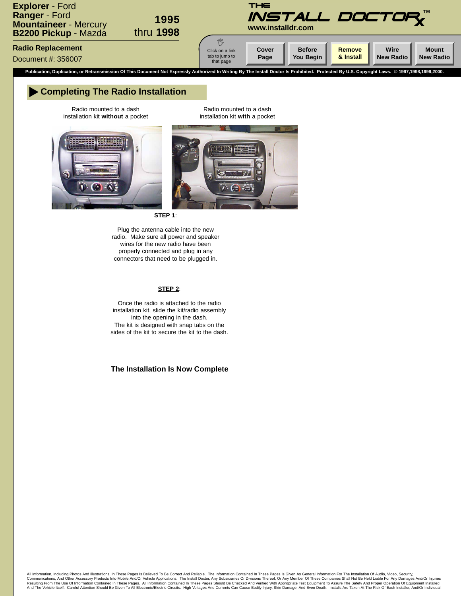

#### **Completing The Radio Installation**

Radio mounted to a dash installation kit **without** a pocket

Radio mounted to a dash installation kit **with** a pocket



**STEP 1**:

Plug the antenna cable into the new radio. Make sure all power and speaker wires for the new radio have been properly connected and plug in any connectors that need to be plugged in.

#### **STEP 2**:

Once the radio is attached to the radio installation kit, slide the kit/radio assembly into the opening in the dash. The kit is designed with snap tabs on the sides of the kit to secure the kit to the dash.

#### **The Installation Is Now Complete**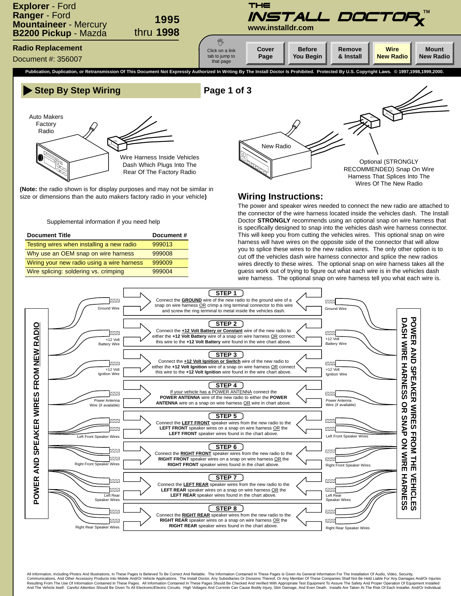<span id="page-4-0"></span>





**(Note:** the radio shown is for display purposes and may not be similar in size or dimensions than the auto makers factory radio in your vehicle**)**

Supplemental information if you need help

| <b>Document Title</b>                      | Document# |
|--------------------------------------------|-----------|
| Testing wires when installing a new radio  | 999013    |
| Why use an OEM snap on wire harness        | 999008    |
| Wiring your new radio using a wire harness | 999009    |
| Wire splicing: soldering vs. crimping      | 999004    |



#### **Wiring Instructions:**

The power and speaker wires needed to connect the new radio are attached to the connector of the wire harness located inside the vehicles dash. The Install Doctor **STRONGLY** recommends using an optional snap on wire harness that is specifically designed to snap into the vehicles dash wire harness connector. This will keep you from cutting the vehicles wires. This optional snap on wire harness will have wires on the opposite side of the connector that will allow you to splice these wires to the new radios wires. The only other option is to cut off the vehicles dash wire harness connector and splice the new radios wires directly to these wires. The optional snap on wire harness takes all the guess work out of trying to figure out what each wire is in the vehicles dash wire harness. The optional snap on wire harness tell you what each wire is.



All Information, Including Photos And Illustrations, In These Pages Is Believed To Be Correct And Reliable. The Information Contained In These Pages Is Given As General Information For The Installation Of Audio, Video, Sec Communications, And Other Accessory Products Into Mobile And/Or Vehicle Applications. The Install Doctor, Any Subsidiaries Or Divisions Thereof, Or Any Member Of These Companies Shall Not Be Held Liable For Any Damages An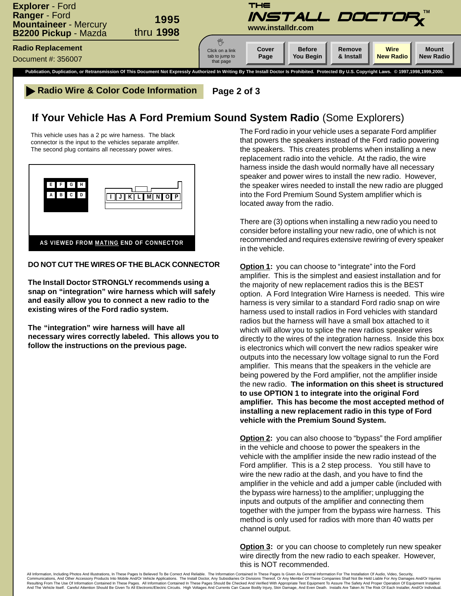

**Radio Wire & Color Code Information Page 2 of 3** 

# **If Your Vehicle Has A Ford Premium Sound System Radio** (Some Explorers)

This vehicle uses has a 2 pc wire harness. The black connector is the input to the vehicles separate amplifer. The second plug contains all necessary power wires.



#### **DO NOT CUT THE WIRES OF THE BLACK CONNECTOR**

**The Install Doctor STRONGLY recommends using a snap on "integration" wire harness which will safely and easily allow you to connect a new radio to the existing wires of the Ford radio system.**

**The "integration" wire harness will have all necessary wires correctly labeled. This allows you to follow the instructions on the previous page.**

The Ford radio in your vehicle uses a separate Ford amplifier that powers the speakers instead of the Ford radio powering the speakers. This creates problems when installing a new replacement radio into the vehicle. At the radio, the wire harness inside the dash would normally have all necessary speaker and power wires to install the new radio. However, the speaker wires needed to install the new radio are plugged into the Ford Premium Sound System amplifier which is located away from the radio.

There are (3) options when installing a new radio you need to consider before installing your new radio, one of which is not recommended and requires extensive rewiring of every speaker in the vehicle.

**Option 1:** you can choose to "integrate" into the Ford amplifier. This is the simplest and easiest installation and for the majority of new replacement radios this is the BEST option. A Ford Integration Wire Harness is needed. This wire harness is very similar to a standard Ford radio snap on wire harness used to install radios in Ford vehicles with standard radios but the harness will have a small box attached to it which will allow you to splice the new radios speaker wires directly to the wires of the integration harness. Inside this box is electronics which will convert the new radios speaker wire outputs into the necessary low voltage signal to run the Ford amplifier. This means that the speakers in the vehicle are being powered by the Ford amplifier, not the amplifier inside the new radio. **The information on this sheet is structured to use OPTION 1 to integrate into the original Ford amplifier. This has become the most accepted method of installing a new replacement radio in this type of Ford vehicle with the Premium Sound System.**

**Option 2:** you can also choose to "bypass" the Ford amplifier in the vehicle and choose to power the speakers in the vehicle with the amplifier inside the new radio instead of the Ford amplifier. This is a 2 step process. You still have to wire the new radio at the dash, and you have to find the amplifier in the vehicle and add a jumper cable (included with the bypass wire harness) to the amplifier; unplugging the inputs and outputs of the amplifier and connecting them together with the jumper from the bypass wire harness. This method is only used for radios with more than 40 watts per channel output.

**Option 3:** or you can choose to completely run new speaker wire directly from the new radio to each speaker. However, this is NOT recommended.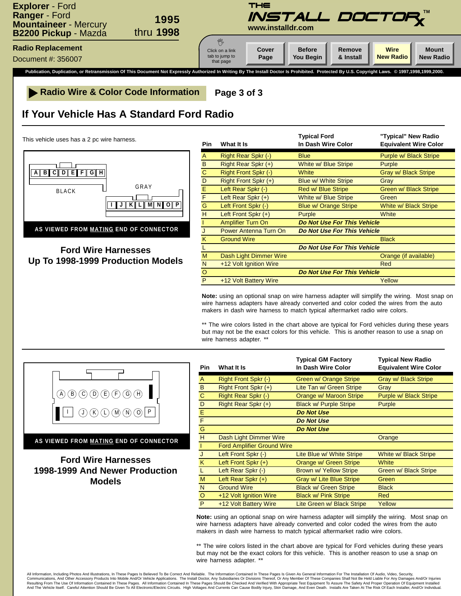

**Radio Wire & Color Code Information Page 3 of 3**

# **If Your Vehicle Has A Standard Ford Radio**

This vehicle uses has a 2 pc wire harness.



**Ford Wire Harnesses Up To 1998-1999 Production Models**

| <b>Pin</b>     | What It Is                   | <b>Typical Ford</b><br>In Dash Wire Color | "Typical" New Radio<br><b>Equivalent Wire Color</b> |
|----------------|------------------------------|-------------------------------------------|-----------------------------------------------------|
| A              | Right Rear Spkr (-)          | <b>Blue</b>                               | Purple w/ Black Stripe                              |
| B              | Right Rear Spkr (+)          | White w/ Blue Stripe                      | Purple                                              |
| $\overline{C}$ | Right Front Spkr (-)         | White                                     | Gray w/ Black Stripe                                |
| D              | Right Front Spkr (+)         | <b>Blue w/ White Stripe</b>               | Gray                                                |
| E              | Left Rear Spkr (-)           | Red w/ Blue Stripe                        | Green w/ Black Stripe                               |
| F              | Left Rear Spkr $(+)$         | White w/ Blue Stripe                      | Green                                               |
| G              | Left Front Spkr (-)          | <b>Blue w/ Orange Stripe</b>              | White w/ Black Stripe                               |
| H              | Left Front Spkr (+)          | Purple                                    | White                                               |
| T              | <b>Amplifier Turn On</b>     | Do Not Use For This Vehicle               |                                                     |
| J              | <b>Power Antenna Turn On</b> | Do Not Use For This Vehicle               |                                                     |
| K              | <b>Ground Wire</b>           |                                           | <b>Black</b>                                        |
|                |                              | Do Not Use For This Vehicle               |                                                     |
| M              | Dash Light Dimmer Wire       |                                           | Orange (if available)                               |
| N              | +12 Volt Ignition Wire       |                                           | Red                                                 |
| $\circ$        |                              | Do Not Use For This Vehicle               |                                                     |
| P              | +12 Volt Battery Wire        |                                           | Yellow                                              |

**Note:** using an optional snap on wire harness adapter will simplify the wiring. Most snap on wire harness adapters have already converted and color coded the wires from the auto makers in dash wire harness to match typical aftermarket radio wire colors.

\*\* The wire colors listed in the chart above are typical for Ford vehicles during these years but may not be the exact colors for this vehicle. This is another reason to use a snap on wire harness adapter. \*\*



**AS VIEWED FROM MATING END OF CONNECTOR**

**Ford Wire Harnesses 1998-1999 And Newer Production Models**

| <b>Pin</b>  | What It Is                        | <b>Typical GM Factory</b><br>In Dash Wire Color | <b>Typical New Radio</b><br><b>Equivalent Wire Color</b> |
|-------------|-----------------------------------|-------------------------------------------------|----------------------------------------------------------|
|             |                                   |                                                 |                                                          |
| A           | Right Front Spkr (-)              | Green w/ Orange Stripe                          | Gray w/ Black Stripe                                     |
| B           | Right Front Spkr (+)              | Lite Tan w/ Green Stripe                        | Gray                                                     |
| $\mathbf C$ | Right Rear Spkr (-)               | Orange w/ Maroon Stripe                         | Purple w/ Black Stripe                                   |
| D           | Right Rear Spkr (+)               | <b>Black w/ Purple Stripe</b>                   | Purple                                                   |
| E.          |                                   | <b>Do Not Use</b>                               |                                                          |
| F           |                                   | <b>Do Not Use</b>                               |                                                          |
| G           |                                   | <b>Do Not Use</b>                               |                                                          |
| H           | Dash Light Dimmer Wire            |                                                 | Orange                                                   |
|             | <b>Ford Amplifier Ground Wire</b> |                                                 |                                                          |
| J           | Left Front Spkr (-)               | Lite Blue w/ White Stripe                       | White w/ Black Stripe                                    |
| K           | Left Front Spkr $(+)$             | Orange w/ Green Stripe                          | White                                                    |
|             | Left Rear Spkr (-)                | <b>Brown w/ Yellow Stripe</b>                   | Green w/ Black Stripe                                    |
| M           | Left Rear Spkr $(+)$              | Gray w/ Lite Blue Stripe                        | Green                                                    |
| N           | <b>Ground Wire</b>                | <b>Black w/ Green Stripe</b>                    | <b>Black</b>                                             |
| $\circ$     | +12 Volt Ignition Wire            | <b>Black w/ Pink Stripe</b>                     | <b>Red</b>                                               |
| P           | +12 Volt Battery Wire             | Lite Green w/ Black Stripe                      | Yellow                                                   |

**Note:** using an optional snap on wire harness adapter will simplify the wiring. Most snap on wire harness adapters have already converted and color coded the wires from the auto makers in dash wire harness to match typical aftermarket radio wire colors.

\*\* The wire colors listed in the chart above are typical for Ford vehicles during these years but may not be the exact colors for this vehicle. This is another reason to use a snap on wire harness adapter. \*\*